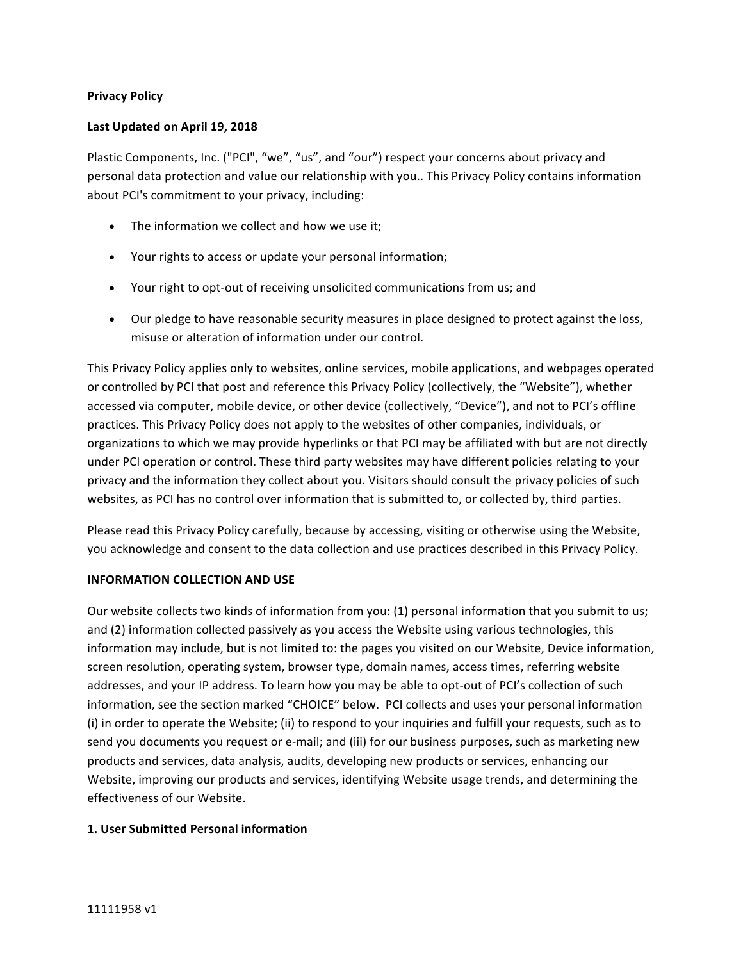## **Privacy Policy**

## Last Updated on April 19, 2018

Plastic Components, Inc. ("PCI", "we", "us", and "our") respect your concerns about privacy and personal data protection and value our relationship with you.. This Privacy Policy contains information about PCI's commitment to your privacy, including:

- $\bullet$  The information we collect and how we use it;
- Your rights to access or update your personal information;
- Your right to opt-out of receiving unsolicited communications from us; and
- Our pledge to have reasonable security measures in place designed to protect against the loss, misuse or alteration of information under our control.

This Privacy Policy applies only to websites, online services, mobile applications, and webpages operated or controlled by PCI that post and reference this Privacy Policy (collectively, the "Website"), whether accessed via computer, mobile device, or other device (collectively, "Device"), and not to PCI's offline practices. This Privacy Policy does not apply to the websites of other companies, individuals, or organizations to which we may provide hyperlinks or that PCI may be affiliated with but are not directly under PCI operation or control. These third party websites may have different policies relating to your privacy and the information they collect about you. Visitors should consult the privacy policies of such websites, as PCI has no control over information that is submitted to, or collected by, third parties.

Please read this Privacy Policy carefully, because by accessing, visiting or otherwise using the Website, you acknowledge and consent to the data collection and use practices described in this Privacy Policy.

### **INFORMATION COLLECTION AND USE**

Our website collects two kinds of information from you: (1) personal information that you submit to us; and (2) information collected passively as you access the Website using various technologies, this information may include, but is not limited to: the pages you visited on our Website, Device information, screen resolution, operating system, browser type, domain names, access times, referring website addresses, and your IP address. To learn how you may be able to opt-out of PCI's collection of such information, see the section marked "CHOICE" below. PCI collects and uses your personal information (i) in order to operate the Website; (ii) to respond to your inquiries and fulfill your requests, such as to send you documents you request or e-mail; and (iii) for our business purposes, such as marketing new products and services, data analysis, audits, developing new products or services, enhancing our Website, improving our products and services, identifying Website usage trends, and determining the effectiveness of our Website.

### **1. User Submitted Personal information**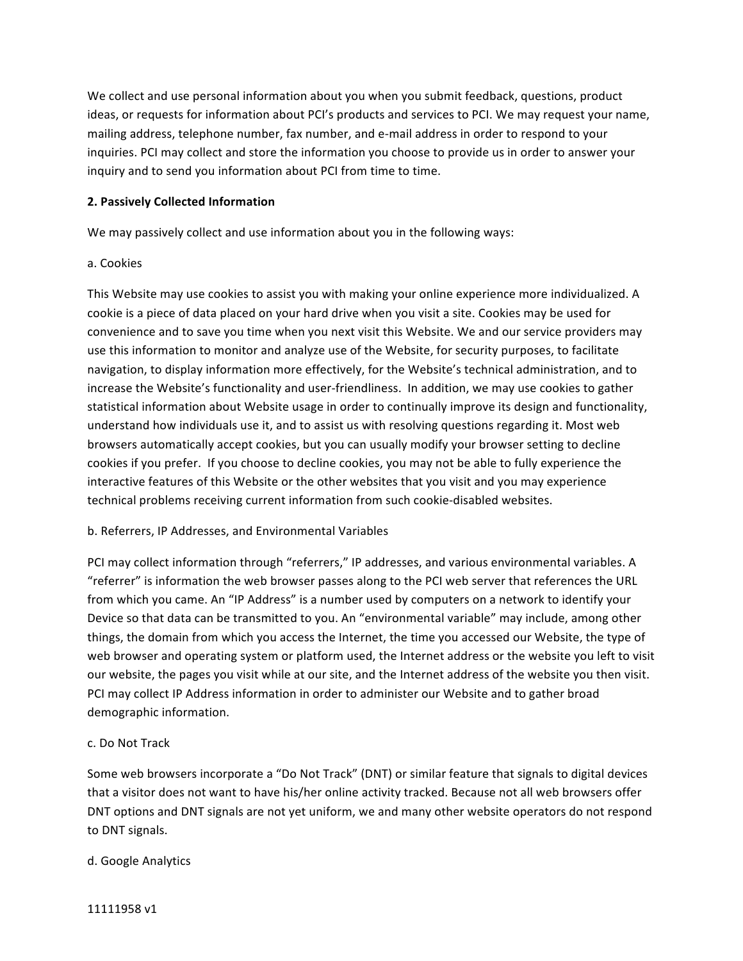We collect and use personal information about you when you submit feedback, questions, product ideas, or requests for information about PCI's products and services to PCI. We may request your name, mailing address, telephone number, fax number, and e-mail address in order to respond to your inquiries. PCI may collect and store the information you choose to provide us in order to answer your inquiry and to send you information about PCI from time to time.

## **2. Passively Collected Information**

We may passively collect and use information about you in the following ways:

## a. Cookies

This Website may use cookies to assist you with making your online experience more individualized. A cookie is a piece of data placed on your hard drive when you visit a site. Cookies may be used for convenience and to save you time when you next visit this Website. We and our service providers may use this information to monitor and analyze use of the Website, for security purposes, to facilitate navigation, to display information more effectively, for the Website's technical administration, and to increase the Website's functionality and user-friendliness. In addition, we may use cookies to gather statistical information about Website usage in order to continually improve its design and functionality, understand how individuals use it, and to assist us with resolving questions regarding it. Most web browsers automatically accept cookies, but you can usually modify your browser setting to decline cookies if you prefer. If you choose to decline cookies, you may not be able to fully experience the interactive features of this Website or the other websites that you visit and you may experience technical problems receiving current information from such cookie-disabled websites.

# b. Referrers, IP Addresses, and Environmental Variables

PCI may collect information through "referrers," IP addresses, and various environmental variables. A "referrer" is information the web browser passes along to the PCI web server that references the URL from which you came. An "IP Address" is a number used by computers on a network to identify your Device so that data can be transmitted to you. An "environmental variable" may include, among other things, the domain from which you access the Internet, the time you accessed our Website, the type of web browser and operating system or platform used, the Internet address or the website you left to visit our website, the pages you visit while at our site, and the Internet address of the website you then visit. PCI may collect IP Address information in order to administer our Website and to gather broad demographic information.

# c. Do Not Track

Some web browsers incorporate a "Do Not Track" (DNT) or similar feature that signals to digital devices that a visitor does not want to have his/her online activity tracked. Because not all web browsers offer DNT options and DNT signals are not yet uniform, we and many other website operators do not respond to DNT signals.

# d. Google Analytics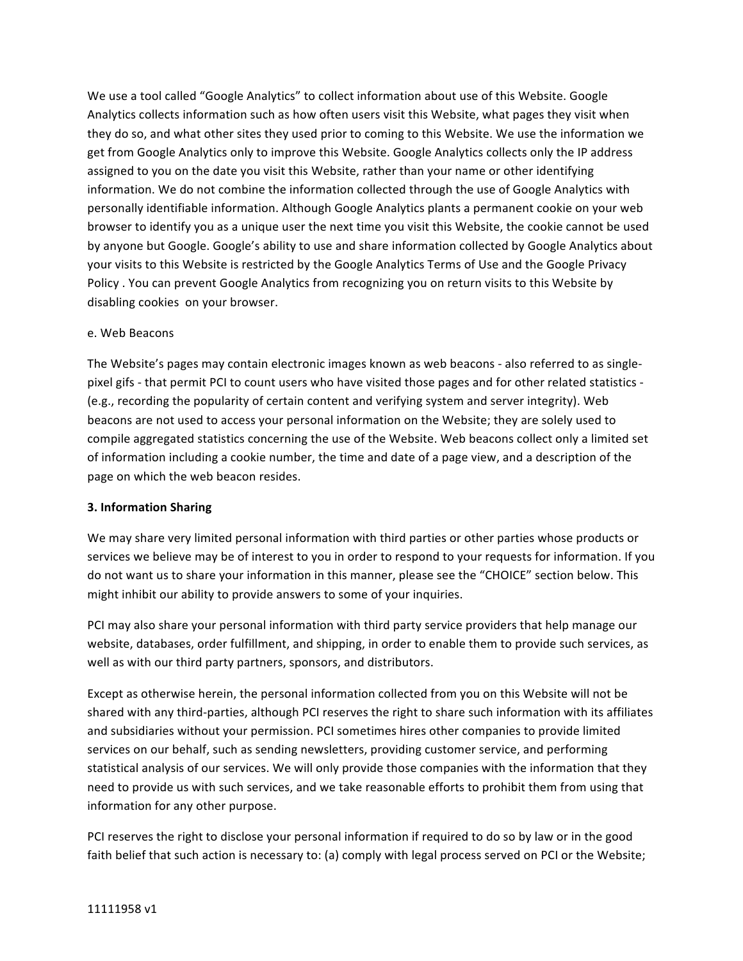We use a tool called "Google Analytics" to collect information about use of this Website. Google Analytics collects information such as how often users visit this Website, what pages they visit when they do so, and what other sites they used prior to coming to this Website. We use the information we get from Google Analytics only to improve this Website. Google Analytics collects only the IP address assigned to you on the date you visit this Website, rather than your name or other identifying information. We do not combine the information collected through the use of Google Analytics with personally identifiable information. Although Google Analytics plants a permanent cookie on your web browser to identify you as a unique user the next time you visit this Website, the cookie cannot be used by anyone but Google. Google's ability to use and share information collected by Google Analytics about your visits to this Website is restricted by the Google Analytics Terms of Use and the Google Privacy Policy . You can prevent Google Analytics from recognizing you on return visits to this Website by disabling cookies on your browser.

## e. Web Beacons

The Website's pages may contain electronic images known as web beacons - also referred to as singlepixel gifs - that permit PCI to count users who have visited those pages and for other related statistics -(e.g., recording the popularity of certain content and verifying system and server integrity). Web beacons are not used to access your personal information on the Website; they are solely used to compile aggregated statistics concerning the use of the Website. Web beacons collect only a limited set of information including a cookie number, the time and date of a page view, and a description of the page on which the web beacon resides.

# **3. Information Sharing**

We may share very limited personal information with third parties or other parties whose products or services we believe may be of interest to you in order to respond to your requests for information. If you do not want us to share your information in this manner, please see the "CHOICE" section below. This might inhibit our ability to provide answers to some of your inquiries.

PCI may also share your personal information with third party service providers that help manage our website, databases, order fulfillment, and shipping, in order to enable them to provide such services, as well as with our third party partners, sponsors, and distributors.

Except as otherwise herein, the personal information collected from you on this Website will not be shared with any third-parties, although PCI reserves the right to share such information with its affiliates and subsidiaries without your permission. PCI sometimes hires other companies to provide limited services on our behalf, such as sending newsletters, providing customer service, and performing statistical analysis of our services. We will only provide those companies with the information that they need to provide us with such services, and we take reasonable efforts to prohibit them from using that information for any other purpose.

PCI reserves the right to disclose your personal information if required to do so by law or in the good faith belief that such action is necessary to: (a) comply with legal process served on PCI or the Website;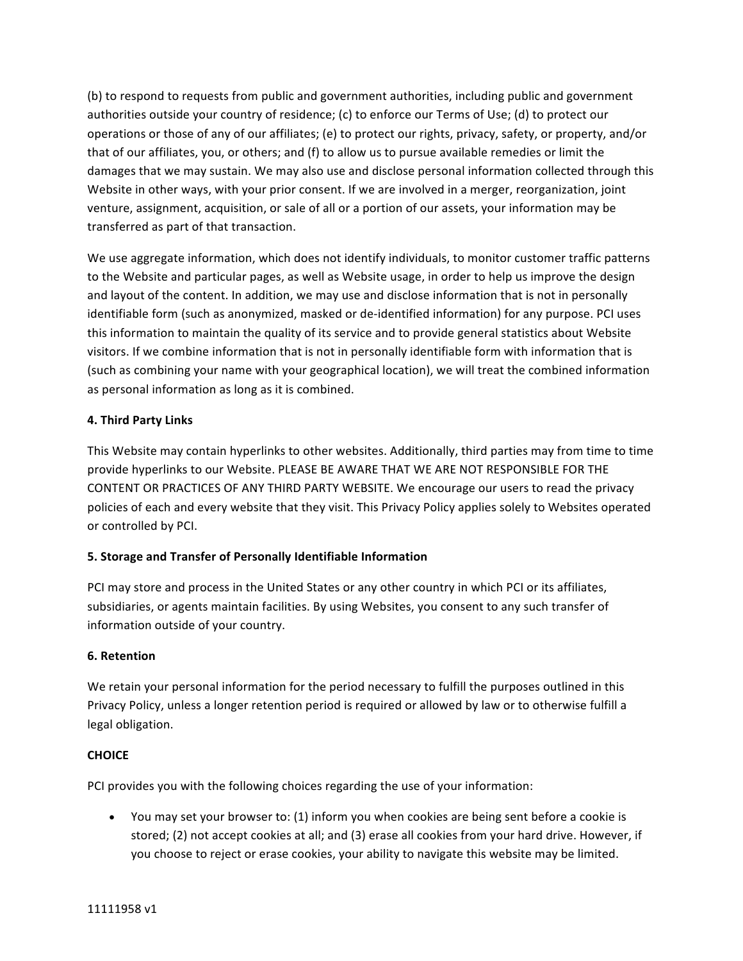(b) to respond to requests from public and government authorities, including public and government authorities outside your country of residence; (c) to enforce our Terms of Use; (d) to protect our operations or those of any of our affiliates; (e) to protect our rights, privacy, safety, or property, and/or that of our affiliates, you, or others; and (f) to allow us to pursue available remedies or limit the damages that we may sustain. We may also use and disclose personal information collected through this Website in other ways, with your prior consent. If we are involved in a merger, reorganization, joint venture, assignment, acquisition, or sale of all or a portion of our assets, your information may be transferred as part of that transaction.

We use aggregate information, which does not identify individuals, to monitor customer traffic patterns to the Website and particular pages, as well as Website usage, in order to help us improve the design and layout of the content. In addition, we may use and disclose information that is not in personally identifiable form (such as anonymized, masked or de-identified information) for any purpose. PCI uses this information to maintain the quality of its service and to provide general statistics about Website visitors. If we combine information that is not in personally identifiable form with information that is (such as combining your name with your geographical location), we will treat the combined information as personal information as long as it is combined.

# **4. Third Party Links**

This Website may contain hyperlinks to other websites. Additionally, third parties may from time to time provide hyperlinks to our Website. PLEASE BE AWARE THAT WE ARE NOT RESPONSIBLE FOR THE CONTENT OR PRACTICES OF ANY THIRD PARTY WEBSITE. We encourage our users to read the privacy policies of each and every website that they visit. This Privacy Policy applies solely to Websites operated or controlled by PCI.

# **5. Storage and Transfer of Personally Identifiable Information**

PCI may store and process in the United States or any other country in which PCI or its affiliates, subsidiaries, or agents maintain facilities. By using Websites, you consent to any such transfer of information outside of your country.

# **6. Retention**

We retain your personal information for the period necessary to fulfill the purposes outlined in this Privacy Policy, unless a longer retention period is required or allowed by law or to otherwise fulfill a legal obligation.

# **CHOICE**

PCI provides you with the following choices regarding the use of your information:

• You may set your browser to: (1) inform you when cookies are being sent before a cookie is stored; (2) not accept cookies at all; and (3) erase all cookies from your hard drive. However, if you choose to reject or erase cookies, your ability to navigate this website may be limited.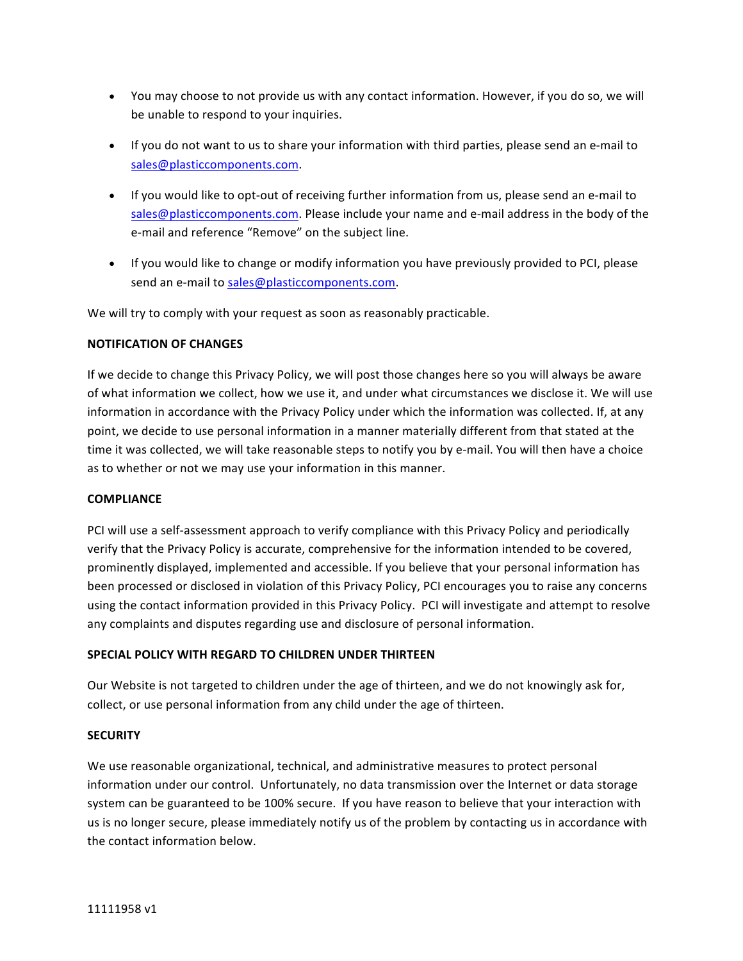- You may choose to not provide us with any contact information. However, if you do so, we will be unable to respond to your inquiries.
- If you do not want to us to share your information with third parties, please send an e-mail to sales@plasticcomponents.com.
- If you would like to opt-out of receiving further information from us, please send an e-mail to sales@plasticcomponents.com. Please include your name and e-mail address in the body of the e-mail and reference "Remove" on the subject line.
- If you would like to change or modify information you have previously provided to PCI, please send an e-mail to sales@plasticcomponents.com.

We will try to comply with your request as soon as reasonably practicable.

## **NOTIFICATION OF CHANGES**

If we decide to change this Privacy Policy, we will post those changes here so you will always be aware of what information we collect, how we use it, and under what circumstances we disclose it. We will use information in accordance with the Privacy Policy under which the information was collected. If, at any point, we decide to use personal information in a manner materially different from that stated at the time it was collected, we will take reasonable steps to notify you by e-mail. You will then have a choice as to whether or not we may use your information in this manner.

### **COMPLIANCE**

PCI will use a self-assessment approach to verify compliance with this Privacy Policy and periodically verify that the Privacy Policy is accurate, comprehensive for the information intended to be covered, prominently displayed, implemented and accessible. If you believe that your personal information has been processed or disclosed in violation of this Privacy Policy, PCI encourages you to raise any concerns using the contact information provided in this Privacy Policy. PCI will investigate and attempt to resolve any complaints and disputes regarding use and disclosure of personal information.

# **SPECIAL POLICY WITH REGARD TO CHILDREN UNDER THIRTEEN**

Our Website is not targeted to children under the age of thirteen, and we do not knowingly ask for, collect, or use personal information from any child under the age of thirteen.

### **SECURITY**

We use reasonable organizational, technical, and administrative measures to protect personal information under our control. Unfortunately, no data transmission over the Internet or data storage system can be guaranteed to be 100% secure. If you have reason to believe that your interaction with us is no longer secure, please immediately notify us of the problem by contacting us in accordance with the contact information below.